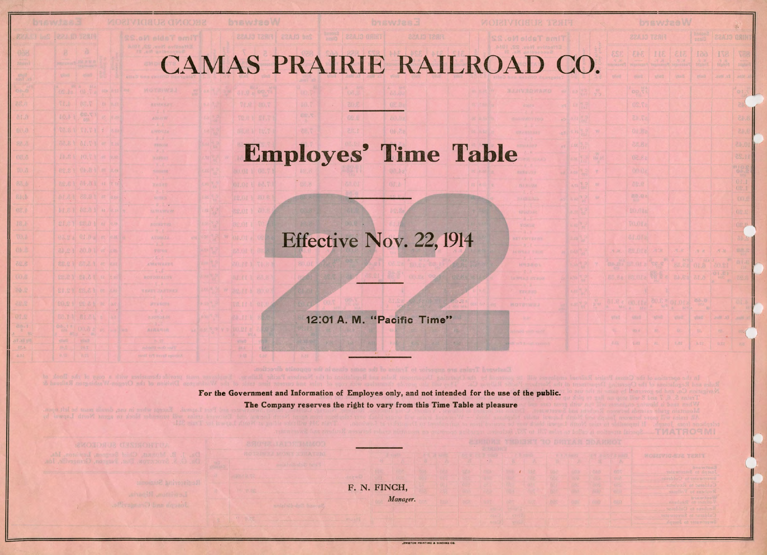## CAMAS PRAIRIE RAILROAD CO.

## Employes' Time Table

## Effective Nov. 22, 1914

12:01 A. M. "Pacific Time"

**For the** Government and Information of Employes only, and not intended for the use of the public. The Company reserves the right to vary from this Time Table at pleasure

84.5

 $0.1 -$ 

F. N. FINCH, *Manager.* 

|                         |                                    |                 | <b>UTGWJ28W</b>                |                            |                                                     |                                                                               | 线                    |  |
|-------------------------|------------------------------------|-----------------|--------------------------------|----------------------------|-----------------------------------------------------|-------------------------------------------------------------------------------|----------------------|--|
|                         |                                    |                 | <b>22A 10 T28H</b>             |                            | <b>CLASS</b>                                        | <b>GSINT</b>                                                                  |                      |  |
| $\bullet$ and $\bullet$ | <b>SSC</b><br>$\frac{N}{\sqrt{2}}$ | 343<br>39.3168  | 118                            | 818                        | 199<br><i>italin</i>                                | 178<br>温泉                                                                     | <b>T28</b><br>fayler |  |
| R                       | <b>YOU'LL</b>                      | <b>view</b>     | Wind                           | <b>tileD</b>               | <b>WAIT</b>                                         | moni.as                                                                       | .869                 |  |
| y.                      |                                    | <b>DD</b> 52    |                                |                            |                                                     |                                                                               | O(1)                 |  |
|                         |                                    | US.Ta           |                                |                            |                                                     |                                                                               | ð.                   |  |
|                         |                                    | 57.15           |                                |                            |                                                     |                                                                               | 84.8                 |  |
| W                       |                                    | OL Ba           |                                |                            |                                                     |                                                                               | 24.6                 |  |
| $\overline{w}$          |                                    | 28.88           |                                |                            |                                                     |                                                                               | 10.45                |  |
| <b>ING OF</b>           |                                    | 02.88           |                                |                            |                                                     |                                                                               | 11.25                |  |
| y                       |                                    | Officia<br>NG.R |                                |                            |                                                     |                                                                               | 01.1                 |  |
| w<br>$\mathbf{v}$       |                                    | 80.08           |                                |                            |                                                     |                                                                               | 02.1                 |  |
|                         |                                    | 21.01a          |                                |                            |                                                     |                                                                               | OG.S<br>02.9         |  |
|                         |                                    | NO.01a          |                                |                            |                                                     |                                                                               | OB.                  |  |
|                         |                                    | 81.012          |                                |                            |                                                     |                                                                               | M                    |  |
|                         | $\mathcal{H},\mathcal{P},$         | 84.01a          | $\mathcal{A}^{\mathcal{A}}$ in | $\mathcal{H},\mathcal{P},$ | $.9 - H$                                            | $\mathbb{R}$ . Fig.                                                           | se.                  |  |
|                         | (10, 2)                            | <b>BR.018</b>   |                                | <b>REAR AND ASSESS</b>     | 01.8                                                | Л.<br>60.81                                                                   | $rac{B_1.E_2}{B_2}$  |  |
|                         |                                    | 88.88   RG.OTa  | 轻量。                            | 6.15 89.43                 |                                                     | $\mathbb{O}\left(\begin{smallmatrix} 1 & 0 \\ 0 & 1 \end{smallmatrix}\right)$ | 59.6                 |  |
|                         |                                    |                 |                                |                            |                                                     |                                                                               |                      |  |
| $\mathcal{H}$           | 1014                               | 0.11<br>4 194   | ٠<br>Ke.                       | DE XOS<br>$\frac{1}{2}$    | <b>84.8</b><br>$\{f_i\}_{i=1}^n$<br>NE <sub>1</sub> |                                                                               | WG.                  |  |
|                         | 일이                                 | <b>MAG</b>      | <b>WOND</b>                    | <b>SHO</b>                 | <b>Report</b>                                       | Es. Mys.                                                                      | part.                |  |
|                         | ٩.                                 | 956.4           | 嗣                              | 18.1                       | ţá,                                                 | 动.                                                                            | $\sqrt{2}$           |  |
|                         | 3.44                               | 5.027           | 标                              | <b>KJRE</b>                | 8.35                                                | 0, 2.2                                                                        | $\tilde{r}_0$ .      |  |

| я            | <b>JACOG ESSAY</b><br>大 | <b>MOISSVIGGUE YERIT</b>                       |  |
|--------------|-------------------------|------------------------------------------------|--|
| own          | COT                     | <b>Bas Wiend</b><br>Joseph to Swertwater       |  |
| ure          | 1102<br><b>LIPE</b>     | Sweeperson Cubbers<br>Cultivate to Seeme       |  |
| <b>VIDEO</b> | 43773                   | rangin I of smidness                           |  |
| - 17         | 石井森                     | <b>British Park W</b><br>kollmer to Bedserberg |  |
|              |                         | severing of roading<br>Culdotat to Severenter  |  |
|              |                         | named of this released                         |  |